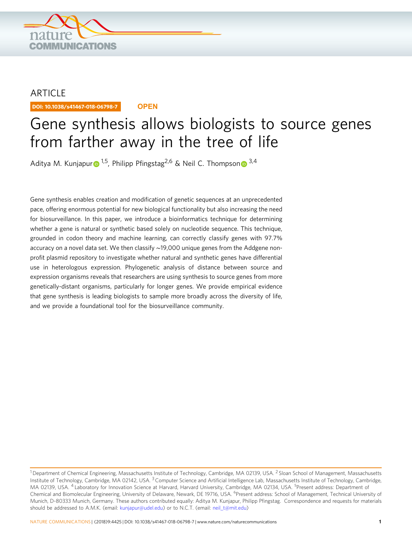

## **ARTICLE**

DOI: 10.1038/s41467-018-06798-7 **OPEN**

# Gene synthesis allows biologists to source genes from farther away in the tree of life

Aditya M. Kunjapu[r](http://orcid.org/0000-0001-6869-9530)  $\bullet$  <sup>1,5</sup>, Philipp Pfi[n](http://orcid.org/0000-0001-9888-573X)gstag<sup>2,6</sup> & Neil C. Thompson  $\bullet$  <sup>[3](http://orcid.org/0000-0001-9888-573X),4</sup>

Gene synthesis enables creation and modification of genetic sequences at an unprecedented pace, offering enormous potential for new biological functionality but also increasing the need for biosurveillance. In this paper, we introduce a bioinformatics technique for determining whether a gene is natural or synthetic based solely on nucleotide sequence. This technique, grounded in codon theory and machine learning, can correctly classify genes with 97.7% accuracy on a novel data set. We then classify ∼19,000 unique genes from the Addgene nonprofit plasmid repository to investigate whether natural and synthetic genes have differential use in heterologous expression. Phylogenetic analysis of distance between source and expression organisms reveals that researchers are using synthesis to source genes from more genetically-distant organisms, particularly for longer genes. We provide empirical evidence that gene synthesis is leading biologists to sample more broadly across the diversity of life, and we provide a foundational tool for the biosurveillance community.

<sup>&</sup>lt;sup>1</sup> Department of Chemical Engineering, Massachusetts Institute of Technology, Cambridge, MA 02139, USA. <sup>2</sup> Sloan School of Management, Massachusetts Institute of Technology, Cambridge, MA 02142, USA. <sup>3</sup> Computer Science and Artificial Intelligence Lab, Massachusetts Institute of Technology, Cambridge, MA 02139, USA. <sup>4</sup> Laboratory for Innovation Science at Harvard, Harvard University, Cambridge, MA 02134, USA. <sup>5</sup>Present address: Department of Chemical and Biomolecular Engineering, University of Delaware, Newark, DE 19716, USA. <sup>6</sup>Present address: School of Management, Technical University of Munich, D-80333 Munich, Germany. These authors contributed equally: Aditya M. Kunjapur, Philipp Pfingstag. Correspondence and requests for materials should be addressed to A.M.K. (email: [kunjapur@udel.edu\)](mailto:kunjapur@udel.edu) or to N.C.T. (email: [neil\\_t@mit.edu](mailto:neil_t@mit.edu))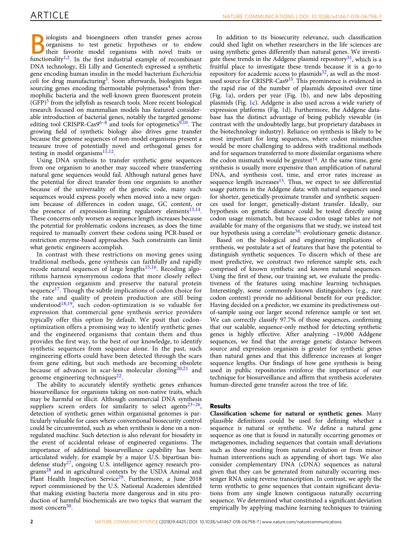Biologists and bioengineers often transfer genes across organisms to test genetic hypotheses or to endow their favorite model organisms with novel traits or functionality<sup>[1](#page-8-0),2</sup>. In the first industrial example of recombinant DNA technology, Eli Lilly and Genentech expressed a synthetic gene encoding human insulin in the model bacterium Escherichia  $\text{coli}$  for drug manufacturing<sup>3</sup>. Soon afterwards, biologists began sourcing genes encoding thermostable polymerases<sup>[4](#page-8-0)</sup> from thermophilic bacteria and the well-known green fluorescent protein  $(GFP)^5$  from the jellyfish as research tools. More recent biological research focused on mammalian models has featured considerable introduction of bacterial genes, notably the targeted genome editing tool CRISPR-Cas9<sup>[6](#page-8-0)–[8](#page-9-0)</sup> and tools for optogenetics<sup>[9,10](#page-9-0)</sup>. The growing field of synthetic biology also drives gene transfer because the genome sequences of non-model organisms present a treasure trove of potentially novel and orthogonal genes for testing in model organisms $11,12$ .

Using DNA synthesis to transfer synthetic gene sequences from one organism to another may succeed where transferring natural gene sequences would fail. Although natural genes have the potential for direct transfer from one organism to another because of the universality of the genetic code, many such sequences would express poorly when moved into a new organism because of differences in codon usage, GC content, or the presence of expression-limiting regulatory elements $13,14$ . These concerns only worsen as sequence length increases because the potential for problematic codons increases, as does the time required to manually convert these codons using PCR-based or restriction enzyme-based approaches. Such constraints can limit what genetic engineers accomplish.

In contrast with these restrictions on moving genes using traditional methods, gene synthesis can faithfully and rapidly recode natural sequences of large lengths $15,16$ . Recoding algorithms harness synonymous codons that more closely reflect the expression organism and preserve the natural protein sequence<sup>[17](#page-9-0)</sup>. Though the subtle implications of codon choice for the rate and quality of protein production are still being understood $18,19$ , such codon-optimization is so valuable for expression that commercial gene synthesis service providers typically offer this option by default. We posit that codonoptimization offers a promising way to identify synthetic genes and the engineered organisms that contain them and thus provides the first way, to the best of our knowledge, to identify synthetic sequences from sequence alone. In the past, such engineering efforts could have been detected through the scars from gene editing, but such methods are becoming obsolete because of advances in scar-less molecular cloning<sup>[20,21](#page-9-0)</sup> and genome engineering techniques<sup>22</sup>

The ability to accurately identify synthetic genes enhances biosurveillance for organisms taking on non-native traits, which may be harmful or illicit. Although commercial DNA synthesis suppliers screen orders for similarity to select agents $23-26$  $23-26$ , detection of synthetic genes within organismal genomes is particularly valuable for cases where conventional biosecurity control could be circumvented, such as when synthesis is done on a nonregulated machine. Such detection is also relevant for biosafety in the event of accidental release of engineered organisms. The importance of additional biosurveillance capability has been articulated widely, for example by a major U.S. bipartisan bio-defense study<sup>[27](#page-9-0)</sup>, ongoing U.S. intelligence agency research programs[28](#page-9-0) and in agricultural contexts by the USDA Animal and Plant Health Inspection Service<sup>29</sup>. Furthermore, a June 2018 report commissioned by the U.S. National Academies identified that making existing bacteria more dangerous and in situ production of harmful biochemicals are two topics that warrant the most concern<sup>[30](#page-9-0)</sup>.

In addition to its biosecurity relevance, such classification could shed light on whether researchers in the life sciences are using synthetic genes differently than natural genes. We investigate these trends in the Addgene plasmid repository $31$ , which is a fruitful place to investigate these trends because it is a go-to repository for academic access to plasmids $32$ , as well as the mostused source for CRISPR-Cas9<sup>33</sup>. This prominence is evidenced in the rapid rise of the number of plasmids deposited over time (Fig. [1](#page-2-0)a), orders per year (Fig. [1](#page-2-0)b), and new labs depositing plasmids (Fig. [1c](#page-2-0)). Addgene is also used across a wide variety of expression platforms (Fig. [1d](#page-2-0)). Furthermore, the Addgene database has the distinct advantage of being publicly viewable (in contrast with the undoubtedly large, but proprietary databases in the biotechnology industry). Reliance on synthesis is likely to be most important for long sequences, where codon mismatches would be more challenging to address with traditional methods and for sequences transferred to more dissimilar organisms where the codon mismatch would be greatest<sup>14</sup>. At the same time, gene synthesis is usually more expensive than amplification of natural DNA, and synthesis cost, time, and error rates increase as sequence length increases $15$ . Thus, we expect to see differential usage patterns in the Addgene data: with natural sequences used for shorter, genetically-proximate transfer and synthetic sequences used for longer, genetically-distant transfer. Ideally, our hypothesis on genetic distance could be tested directly using codon usage mismatch, but because codon usage tables are not available for many of the organisms that we study, we instead test our hypothesis using a correlate  $34$ : evolutionary genetic distance.

Based on the biological and engineering implications of synthesis, we postulate a set of features that have the potential to distinguish synthetic sequences. To discern which of these are most predictive, we construct two reference sample sets, each comprised of known synthetic and known natural sequences. Using the first of these, our training set, we evaluate the predictiveness of the features using machine learning techniques. Interestingly, some commonly-known distinguishers (e.g., rare codon content) provide no additional benefit for our predictor. Having decided on a predictor, we examine its predictiveness outof-sample using our larger second reference sample or test set. We can correctly classify 97.7% of those sequences, confirming that our scalable, sequence-only method for detecting synthetic genes is highly effective. After analyzing ~19,000 Addgene sequences, we find that the average genetic distance between source and expression organism is greater for synthetic genes than natural genes and that this difference increases at longer sequence lengths. Our findings of how gene synthesis is being used in public repositories reinforce the importance of our technique for biosurveillance and affirm that synthesis accelerates human-directed gene transfer across the tree of life.

#### Results

Classification scheme for natural or synthetic genes. Many plausible definitions could be used for defining whether a sequence is natural or synthetic. We define a natural gene sequence as one that is found in naturally occurring genomes or metagenomes, including sequences that contain small deviations such as those resulting from natural evolution or from minor human interventions such as appending of short tags. We also consider complementary DNA (cDNA) sequences as natural given that they can be generated from naturally occurring messenger RNA using reverse transcription. In contrast, we apply the term synthetic to gene sequences that contain significant deviations from any single known contiguous naturally occurring sequence. We determined what constituted a significant deviation empirically by applying machine learning techniques to training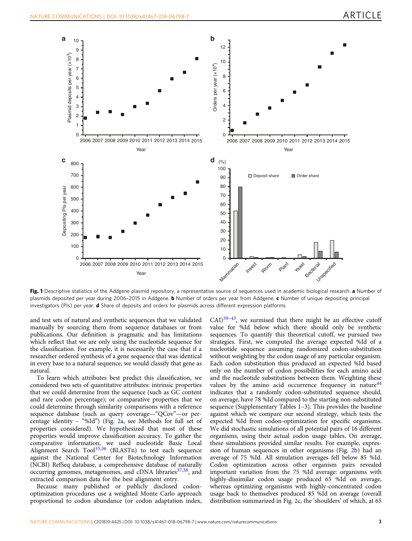<span id="page-2-0"></span>

Fig. 1 Descriptive statistics of the Addgene plasmid repository, a representative source of sequences used in academic biological research. a Number of plasmids deposited per year during 2006-2015 in Addgene. b Number of orders per year from Addgene. c Number of unique depositing principal investigators (PIs) per year. d Share of deposits and orders for plasmids across different expression platforms

and test sets of natural and synthetic sequences that we validated manually by sourcing them from sequence databases or from publications. Our definition is pragmatic and has limitations which reflect that we are only using the nucleotide sequence for the classification. For example, it is necessarily the case that if a researcher ordered synthesis of a gene sequence that was identical in every base to a natural sequence, we would classify that gene as natural.

To learn which attributes best predict this classification, we considered two sets of quantitative attributes: intrinsic properties that we could determine from the sequence (such as GC content and rare codon percentage); or comparative properties that we could determine through similarity comparisons with a reference sequence database (such as query coverage—"QCov"—or percentage identity – "%Id") (Fig. [2](#page-3-0)a, see Methods for full set of properties considered). We hypothesized that most of these properties would improve classification accuracy. To gather the comparative information, we used nucleotide Basic Local Alignment Search Tool $35,36$  (BLASTn) to test each sequence against the National Center for Biotechnology Information (NCBI) RefSeq database, a comprehensive database of naturally occurring genomes, metagenomes, and cDNA libraries  $37,38$ , and extracted comparison data for the best alignment entry.

Because many published or publicly disclosed codonoptimization procedures use a weighted Monte Carlo approach proportional to codon abundance (or codon adaptation index,  $CAI)^{39-43}$  $CAI)^{39-43}$  $CAI)^{39-43}$  $CAI)^{39-43}$  $CAI)^{39-43}$ , we surmised that there might be an effective cutoff value for %Id below which there should only be synthetic sequences. To quantify this theoretical cutoff, we pursued two strategies. First, we computed the average expected %Id of a nucleotide sequence assuming randomized codon-substitution without weighting by the codon usage of any particular organism. Each codon substitution thus produced an expected %Id based only on the number of codon possibilities for each amino acid and the nucleotide substitutions between them. Weighting these values by the amino acid occurrence frequency in nature $44$ indicates that a randomly codon-substituted sequence should, on average, have 78 %Id compared to the starting non-substituted sequence (Supplementary Tables 1–3). This provides the baseline against which we compare our second strategy, which tests the expected %Id from codon-optimization for specific organisms. We did stochastic simulations of all potential pairs of 16 different organisms, using their actual codon usage tables. On average, these simulations provided similar results. For example, expression of human sequences in other organisms (Fig. [2](#page-3-0)b) had an average of 75 %Id. All simulation averages fell below 85 %Id. Codon optimization across other organism pairs revealed important variation from the 75 %Id average: organisms with highly-dissimilar codon usage produced 65 %Id on average, whereas optimizing organisms with highly-concentrated codon usage back to themselves produced 85 %Id on average (overall distribution summarized in Fig. [2](#page-3-0)c, the 'shoulders' of which, at 65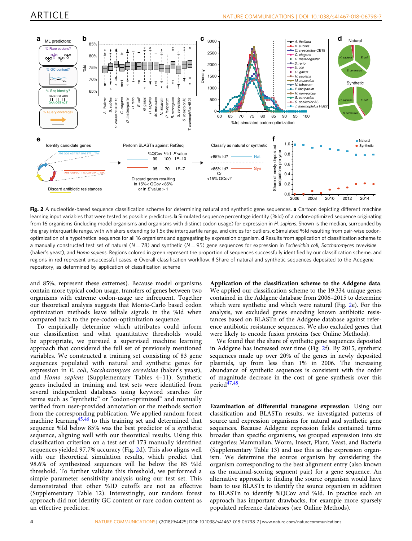<span id="page-3-0"></span>

Fig. 2 A nucleotide-based sequence classification scheme for determining natural and synthetic gene sequences. a Cartoon depicting different machine learning input variables that were tested as possible predictors. **b** Simulated sequence percentage identity (%Id) of a codon-optimized sequence originating from 16 organisms (including model organisms and organisms with distinct codon usage) for expression in H. sapiens. Shown is the median, surrounded by the gray interquartile range, with whiskers extending to 1.5x the interquartile range, and circles for outliers. c Simulated %Id resulting from pair-wise codonoptimization of a hypothetical sequence for all 16 organisms and aggregating by expression organism. **d** Results from application of classification scheme to a manually constructed test set of natural (N = 78) and synthetic (N = 95) gene sequences for expression in Escherichia coli, Saccharomyces cerevisiae (baker's yeast), and Homo sapiens. Regions colored in green represent the proportion of sequences successfully identified by our classification scheme, and regions in red represent unsuccessful cases. e Overall classification workflow. f Share of natural and synthetic sequences deposited to the Addgene repository, as determined by application of classification scheme

and 85%, represent these extremes). Because model organisms contain more typical codon usage, transfers of genes between two organisms with extreme codon-usage are infrequent. Together our theoretical analysis suggests that Monte-Carlo based codon optimization methods leave telltale signals in the %Id when compared back to the pre-codon-optimization sequence.

To empirically determine which attributes could inform our classification and what quantitative thresholds would be appropriate, we pursued a supervised machine learning approach that considered the full set of previously mentioned variables. We constructed a training set consisting of 83 gene sequences populated with natural and synthetic genes for expression in E. coli, Saccharomyces cerevisiae (baker's yeast), and Homo sapiens (Supplementary Tables 4–11). Synthetic genes included in training and test sets were identified from several independent databases using keyword searches for terms such as "synthetic" or "codon-optimized" and manually verified from user-provided annotation or the methods section from the corresponding publication. We applied random forest machine learning<sup>[45,46](#page-9-0)</sup> to this training set and determined that sequence %Id below 85% was the best predictor of a synthetic sequence, aligning well with our theoretical results. Using this classification criterion on a test set of 173 manually identified sequences yielded 97.7% accuracy (Fig. 2d). This also aligns well with our theoretical simulation results, which predict that 98.6% of synthesized sequences will lie below the 85 %Id threshold. To further validate this threshold, we performed a simple parameter sensitivity analysis using our test set. This demonstrated that other %ID cutoffs are not as effective (Supplementary Table 12). Interestingly, our random forest approach did not identify GC content or rare codon content as an effective predictor.

Application of the classification scheme to the Addgene data. We applied our classification scheme to the 19,334 unique genes contained in the Addgene database from 2006–2015 to determine which were synthetic and which were natural (Fig. 2e). For this analysis, we excluded genes encoding known antibiotic resistances based on BLASTn of the Addgene database against reference antibiotic resistance sequences. We also excluded genes that were likely to encode fusion proteins (see Online Methods).

We found that the share of synthetic gene sequences deposited in Addgene has increased over time (Fig. 2f). By 2015, synthetic sequences made up over 20% of the genes in newly deposited plasmids, up from less than 1% in 2006. The increasing abundance of synthetic sequences is consistent with the order of magnitude decrease in the cost of gene synthesis over this period $47,48$  $47,48$  $47,48$ .

Examination of differential transgene expression. Using our classification and BLASTn results, we investigated patterns of source and expression organisms for natural and synthetic gene sequences. Because Addgene expression fields contained terms broader than specific organisms, we grouped expression into six categories: Mammalian, Worm, Insect, Plant, Yeast, and Bacteria (Supplementary Table 13) and use this as the expression organism. We determine the source organism by considering the organism corresponding to the best alignment entry (also known as the maximal-scoring segment pair) for a gene sequence. An alternative approach to finding the source organism would have been to use BLASTx to identify the source organism in addition to BLASTn to identify %QCov and %Id. In practice such an approach has important drawbacks, for example more sparsely populated reference databases (see Online Methods).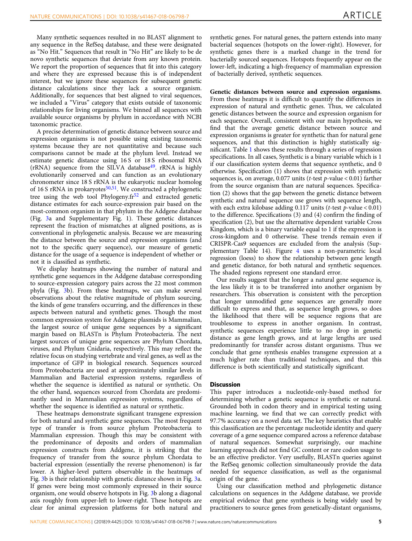Many synthetic sequences resulted in no BLAST alignment to any sequence in the RefSeq database, and these were designated as "No Hit." Sequences that result in "No Hit" are likely to be de novo synthetic sequences that deviate from any known protein. We report the proportion of sequences that fit into this category and where they are expressed because this is of independent interest, but we ignore these sequences for subsequent genetic distance calculations since they lack a source organism. Additionally, for sequences that best aligned to viral sequences, we included a "Virus" category that exists outside of taxonomic relationships for living organisms. We binned all sequences with available source organisms by phylum in accordance with NCBI taxonomic practice.

A precise determination of genetic distance between source and expression organisms is not possible using existing taxonomic systems because they are not quantitative and because such comparisons cannot be made at the phylum level. Instead we estimate genetic distance using 16 S or 18 S ribosomal RNA ( $rRNA$ ) sequence from the SILVA database<sup>[49](#page-9-0)</sup>.  $rRNA$  is highly evolutionarily conserved and can function as an evolutionary chronometer since 18 S rRNA is the eukaryotic nuclear homolog of 16 S rRNA in prokaryotes $50,51$ . We constructed a phylogenetic tree using the web tool Phylogeny. $fr<sup>52</sup>$  $fr<sup>52</sup>$  $fr<sup>52</sup>$  and extracted genetic distance estimates for each source-expression pair based on the most-common organism in that phylum in the Addgene database (Fig. [3a](#page-5-0) and Supplementary Fig. 1). These genetic distances represent the fraction of mismatches at aligned positions, as is conventional in phylogenetic analysis. Because we are measuring the distance between the source and expression organisms (and not to the specific query sequence), our measure of genetic distance for the usage of a sequence is independent of whether or not it is classified as synthetic.

We display heatmaps showing the number of natural and synthetic gene sequences in the Addgene database corresponding to source-expression category pairs across the 22 most common phyla (Fig. [3b](#page-5-0)). From these heatmaps, we can make several observations about the relative magnitude of phylum sourcing, the kinds of gene transfers occurring, and the differences in these aspects between natural and synthetic genes. Though the most common expression system for Addgene plasmids is Mammalian, the largest source of unique gene sequences by a significant margin based on BLASTn is Phylum Proteobacteria. The next largest sources of unique gene sequences are Phylum Chordata, viruses, and Phylum Cnidaria, respectively. This may reflect the relative focus on studying vertebrate and viral genes, as well as the importance of GFP in biological research. Sequences sourced from Proteobacteria are used at approximately similar levels in Mammalian and Bacterial expression systems, regardless of whether the sequence is identified as natural or synthetic. On the other hand, sequences sourced from Chordata are predominantly used in Mammalian expression systems, regardless of whether the sequence is identified as natural or synthetic.

These heatmaps demonstrate significant transgene expression for both natural and synthetic gene sequences. The most frequent type of transfer is from source phylum Proteobacteria to Mammalian expression. Though this may be consistent with the predominance of deposits and orders of mammalian expression constructs from Addgene, it is striking that the frequency of transfer from the source phylum Chordata to bacterial expression (essentially the reverse phenomenon) is far lower. A higher-level pattern observable in the heatmaps of Fig. [3](#page-5-0)b is their relationship with genetic distance shown in Fig. [3](#page-5-0)a. If genes were being most commonly expressed in their source organism, one would observe hotspots in Fig. [3](#page-5-0)b along a diagonal axis roughly from upper-left to lower-right. These hotspots are clear for animal expression platforms for both natural and

synthetic genes. For natural genes, the pattern extends into many bacterial sequences (hotspots on the lower-right). However, for synthetic genes there is a marked change in the trend for bacterially sourced sequences. Hotspots frequently appear on the lower-left, indicating a high-frequency of mammalian expression of bacterially derived, synthetic sequences.

Genetic distances between source and expression organisms. From these heatmaps it is difficult to quantify the differences in expression of natural and synthetic genes. Thus, we calculated genetic distances between the source and expression organism for each sequence. Overall, consistent with our main hypothesis, we find that the average genetic distance between source and expression organisms is greater for synthetic than for natural gene sequences, and that this distinction is highly statistically significant. Table [1](#page-6-0) shows these results through a series of regression specifications. In all cases, Synthetic is a binary variable which is 1 if our classification system deems that sequence synthetic, and 0 otherwise. Specification (1) shows that expression with synthetic sequences is, on average, 0.077 units ( $t$ -test  $p$ -value < 0.01) farther from the source organism than are natural sequences. Specification (2) shows that the gap between the genetic distance between synthetic and natural sequence use grows with sequence length, with each extra kilobase adding  $0.117$  units (*t*-test *p*-value <  $0.01$ ) to the difference. Specifications (3) and (4) confirm the finding of specification (2), but use the alternative dependent variable Cross Kingdom, which is a binary variable equal to 1 if the expression is cross-kingdom and 0 otherwise. These trends remain even if CRISPR-Cas9 sequences are excluded from the analysis (Supplementary Table 14). Figure [4](#page-6-0) uses a non-parametric local regression (loess) to show the relationship between gene length and genetic distance, for both natural and synthetic sequences. The shaded regions represent one standard error.

Our results suggest that the longer a natural gene sequence is, the less likely it is to be transferred into another organism by researchers. This observation is consistent with the perception that longer unmodified gene sequences are generally more difficult to express and that, as sequence length grows, so does the likelihood that there will be sequence regions that are troublesome to express in another organism. In contrast, synthetic sequences experience little to no drop in genetic distance as gene length grows, and at large lengths are used predominantly for transfer across distant organisms. Thus we conclude that gene synthesis enables transgene expression at a much higher rate than traditional techniques, and that this difference is both scientifically and statistically significant.

### **Discussion**

This paper introduces a nucleotide-only-based method for determining whether a genetic sequence is synthetic or natural. Grounded both in codon theory and in empirical testing using machine learning, we find that we can correctly predict with 97.7% accuracy on a novel data set. The key heuristics that enable this classification are the percentage nucleotide identity and query coverage of a gene sequence compared across a reference database of natural sequences. Somewhat surprisingly, our machine learning approach did not find GC content or rare codon usage to be an effective predictor. Very usefully, BLASTn queries against the RefSeq genomic collection simultaneously provide the data needed for sequence classification, as well as the organismal origin of the gene.

Using our classification method and phylogenetic distance calculations on sequences in the Addgene database, we provide empirical evidence that gene synthesis is being widely used by practitioners to source genes from genetically-distant organisms,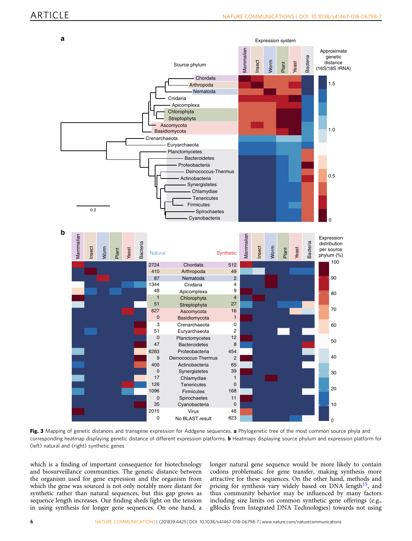<span id="page-5-0"></span>

Fig. 3 Mapping of genetic distances and transgene expression for Addgene sequences. a Phylogenetic tree of the most common source phyla and corresponding heatmap displaying genetic distance of different expression platforms. **b** Heatmaps displaying source phylum and expression platform for (left) natural and (right) synthetic genes

which is a finding of important consequence for biotechnology and biosurveillance communities. The genetic distance between the organism used for gene expression and the organism from which the gene was sourced is not only notably more distant for synthetic rather than natural sequences, but this gap grows as sequence length increases. Our finding sheds light on the tension in using synthesis for longer gene sequences. On one hand, a longer natural gene sequence would be more likely to contain codons problematic for gene transfer, making synthesis more attractive for these sequences. On the other hand, methods and pricing for synthesis vary widely based on DNA length $15$ , and thus community behavior may be influenced by many factors including size limits on common synthetic gene offerings (e.g., gBlocks from Integrated DNA Technologies) towards not using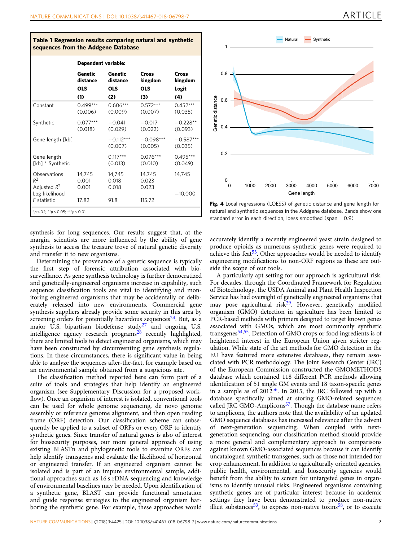<span id="page-6-0"></span>

| Table 1 Regression results comparing natural and synthetic |  |
|------------------------------------------------------------|--|
| sequences from the Addgene Database                        |  |

|                                                                                   | Dependent variable:      |                          |                          |                        |  |  |
|-----------------------------------------------------------------------------------|--------------------------|--------------------------|--------------------------|------------------------|--|--|
|                                                                                   | Genetic<br>distance      | Genetic<br>distance      | Cross<br>kingdom         | Cross<br>kingdom       |  |  |
|                                                                                   | OLS                      | <b>OLS</b>               | <b>OLS</b>               | Logit                  |  |  |
|                                                                                   | (1)                      | (2)                      | (3)                      | (4)                    |  |  |
| Constant                                                                          | $0.499***$<br>(0.006)    | $0.606***$<br>(0.009)    | $0.572***$<br>(0.007)    | $0.452***$<br>(0.035)  |  |  |
| Synthetic                                                                         | $0.077***$<br>(0.018)    | $-0.041$<br>(0.029)      | $-0.017$<br>(0.022)      | $-0.228**$<br>(0.093)  |  |  |
| Gene length [kb]                                                                  |                          | $-0.112***$<br>(0.007)   | $-0.098***$<br>(0.005)   | $-0.587***$<br>(0.035) |  |  |
| Gene length<br>[kb] * Synthetic                                                   |                          | $0.117***$<br>(0.013)    | $0.076***$<br>(0.010)    | $0.495***$<br>(0.049)  |  |  |
| Observations<br>$R^2$<br>Adjusted R <sup>2</sup><br>Log likelihood<br>F statistic | 14,745<br>0.001<br>0.001 | 14,745<br>0.018<br>0.018 | 14,745<br>0.023<br>0.023 | 14,745<br>$-10,000$    |  |  |
|                                                                                   | 17.82                    | 91.8                     | 115.72                   |                        |  |  |
| *p < 0.1; **p < 0.05; ***p < 0.01                                                 |                          |                          |                          |                        |  |  |

synthesis for long sequences. Our results suggest that, at the margin, scientists are more influenced by the ability of gene synthesis to access the treasure trove of natural genetic diversity and transfer it to new organisms.

Determining the provenance of a genetic sequence is typically the first step of forensic attribution associated with biosurveillance. As gene synthesis technology is further democratized and genetically-engineered organisms increase in capability, such sequence classification tools are vital to identifying and monitoring engineered organisms that may be accidentally or deliberately released into new environments. Commercial gene synthesis suppliers already provide some security in this area by screening orders for potentially hazardous sequences<sup>[24](#page-9-0)</sup>. But, as a major U.S. bipartisan biodefense study<sup>[27](#page-9-0)</sup> and ongoing U.S. intelligence agency research programs<sup>[28](#page-9-0)</sup> recently highlighted, there are limited tools to detect engineered organisms, which may have been constructed by circumventing gene synthesis regulations. In these circumstances, there is significant value in being able to analyze the sequences after-the-fact, for example based on an environmental sample obtained from a suspicious site.

The classification method reported here can form part of a suite of tools and strategies that help identify an engineered organism (see Supplementary Discussion for a proposed workflow). Once an organism of interest is isolated, conventional tools can be used for whole genome sequencing, de novo genome assembly or reference genome alignment, and then open reading frame (ORF) detection. Our classification scheme can subsequently be applied to a subset of ORFs or every ORF to identify synthetic genes. Since transfer of natural genes is also of interest for biosecurity purposes, our more general approach of using existing BLASTn and phylogenetic tools to examine ORFs can help identify transgenes and evaluate the likelihood of horizontal or engineered transfer. If an engineered organism cannot be isolated and is part of an impure environmental sample, additional approaches such as 16 s rDNA sequencing and knowledge of environmental baselines may be needed. Upon identification of a synthetic gene, BLAST can provide functional annotation and guide response strategies to the engineered organism harboring the synthetic gene. For example, these approaches would



Fig. 4 Local regressions (LOESS) of genetic distance and gene length for natural and synthetic sequences in the Addgene database. Bands show one standard error in each direction, loess smoothed (span  $= 0.9$ )

accurately identify a recently engineered yeast strain designed to produce opioids as numerous synthetic genes were required to achieve this feat<sup>53</sup>. Other approaches would be needed to identify engineering modifications to non-ORF regions as these are outside the scope of our tools.

A particularly apt setting for our approach is agricultural risk. For decades, through the Coordinated Framework for Regulation of Biotechnology, the USDA Animal and Plant Health Inspection Service has had oversight of genetically engineered organisms that may pose agricultural risk $29$ . However, genetically modified organism (GMO) detection in agriculture has been limited to PCR-based methods with primers designed to target known genes associated with GMOs, which are most commonly synthetic transgenes<sup>54,55</sup>. Detection of GMO crops or food ingredients is of heightened interest in the European Union given stricter regulation. While state of the art methods for GMO detection in the EU have featured more extensive databases, they remain associated with PCR methodology. The Joint Research Center (JRC) of the European Commission constructed the GMOMETHODS database which contained 118 different PCR methods allowing identification of 51 single GM events and 18 taxon-specific genes in a sample as of  $2012^{56}$  $2012^{56}$  $2012^{56}$ . In 2015, the JRC followed up with a database specifically aimed at storing GMO-related sequences called JRC GMO-Amplicons $57$ . Though the database name refers to amplicons, the authors note that the availability of an updated GMO sequence databases has increased relevance after the advent of next-generation sequencing. When coupled with nextgeneration sequencing, our classification method should provide a more general and complementary approach to comparisons against known GMO-associated sequences because it can identify uncatalogued synthetic transgenes, such as those not intended for crop enhancement. In addition to agriculturally oriented agencies, public health, environmental, and biosecurity agencies would benefit from the ability to screen for untargeted genes in organisms to identify unusual risks. Engineered organisms containing synthetic genes are of particular interest because in academic settings they have been demonstrated to produce non-native illicit substances<sup>[53](#page-9-0)</sup>, to express non-native toxins<sup>58</sup>, or to execute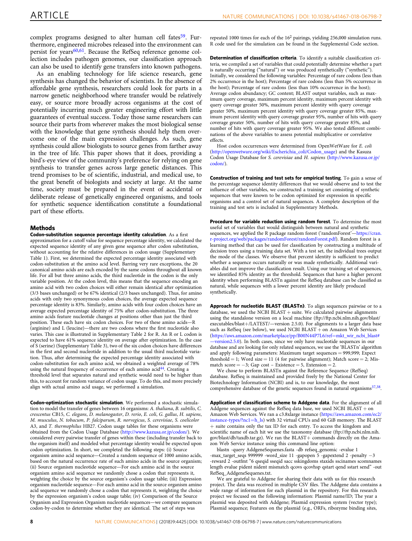complex programs designed to alter human cell fates<sup>59</sup>. Furthermore, engineered microbes released into the environment can persist for years $60,61$ . Because the RefSeq reference genome collection includes pathogen genomes, our classification approach can also be used to identify gene transfers into known pathogens.

As an enabling technology for life science research, gene synthesis has changed the behavior of scientists. In the absence of affordable gene synthesis, researchers could look for parts in a narrow genetic neighborhood where transfer would be relatively easy, or source more broadly across organisms at the cost of potentially incurring much greater engineering effort with little guarantees of eventual success. Today those same researchers can source their parts from wherever makes the most biological sense with the knowledge that gene synthesis should help them overcome one of the main expression challenges. As such, gene synthesis could allow biologists to source genes from farther away in the tree of life. This paper shows that it does, providing a bird's-eye view of the community's preference for relying on gene synthesis to transfer genes across large genetic distances. This trend promises to be of scientific, industrial, and medical use, to the great benefit of biologists and society at large. At the same time, society must be prepared in the event of accidental or deliberate release of genetically engineered organisms, and tools for synthetic sequence identification constitute a foundational part of these efforts.

#### Methods

Codon-substitution sequence percentage identity calculation. As a first approximation for a cutoff value for sequence percentage identity, we calculated the expected sequence identity of any given gene sequence after codon substitution, without accounting for the relative differences in codon usage (Supplementary Table 1). First, we determined the expected percentage identity associated with codon-substitution at the amino acid level. Barring very rare exceptions, the 20 canonical amino acids are each encoded by the same codons throughout all known life. For all but three amino acids, the third nucleotide in the codon is the only variable position. At the codon level, this means that the sequence encoding an amino acid with two codon choices will either remain identical after optimization (3/3 bases unchanged) or be 67% identical (2/3 bases unchanged). Thus, for amino acids with only two synonymous codon choices, the average expected sequence percentage identity is 83%. Similarly, amino acids with four codon choices have an average expected percentage identity of 75% after codon-substitution. The three amino acids feature nucleotide changes at positions other than just the third position. These each have six codon choices. For two of these amino acids—R (arginine) and L (leucine)—there are two codons where the first nucleotide also varies. This case is illustrated in Supplementary Table 2 for R. An R or L codon is expected to have 61% sequence identity on average after optimization. In the case of S (serine) (Supplementary Table 3), two of the six codon choices have differences in the first and second nucleotide in addition to the usual third nucleotide variation. Thus, after determining the expected percentage identity associated with codon-substitution for each amino acid, we obtained a weighted average of 78% using the natural frequency of occurrence of each amino acid<sup>[44](#page-9-0)</sup>. Creating a threshold level that separates natural and synthetic would need to be higher than this, to account for random variance of codon usage. To do this, and more precisely align with actual amino acid usage, we performed a simulation.

Codon-optimization stochastic simulation. We performed a stochastic simulation to model the transfer of genes between 16 organisms: A. thaliana, B. subtilis, C. crescentus CB15, C. elegans, D. melanogaster, D. rerio, E. coli, G. gallus, H. sapiens, M. musculus, N. tobacum, P. falciparum, R. norvegicus, S. cerevisiae, S. coelicolor A3, and T. thermophilus HB27. Codon usage tables for these organisms were obtained from the Codon Usage Database (<http://www.kazusa.or.jp/codon/>). We considered every pairwise transfer of genes within these (including transfer back to the organism itself) and modeled what percentage identity would be expected upon codon optimization. In short, we completed the following steps: (i) Source organism amino acid sequence—Created a random sequence of 1000 amino acids, based on the natural occurrence rate of such amino acids in the source organism; (ii) Source organism nucleotide sequence—For each amino acid in the source organism amino acid sequence we randomly chose a codon that represents it, weighting the choice by the source organism's codon usage table; (iii) Expression organism nucleotide sequence—For each amino acid in the source organism amino acid sequence we randomly chose a codon that represents it, weighting the choice by the expression organism's codon usage table; (iv) Comparison of the Source Organism and Expression Organism nucleotide sequences—we compare sequences codon-by-codon to determine whether they are identical. The set of steps was

repeated 1000 times for each of the  $16<sup>2</sup>$  pairings, yielding 256,000 simulation runs. R code used for the simulation can be found in the Supplemental Code section.

Determination of classification criteria. To identify a suitable classification criteria, we compiled a set of variables that could potentially determine whether a part is naturally occurring ("natural") or was produced synthetically ("synthetic"). Initially, we considered the following variables: Percentage of rare codons (less than 2% occurrence in the host); Percentage of rare codons (less than 5% occurrence in the host); Percentage of rare codons (less than 10% occurrence in the host); Average codon abundancy; GC content; BLAST output variables, such as maximum query coverage, maximum percent identity, maximum percent identity with query coverage greater 50%, maximum percent identity with query coverage greater 50%, maximum percent identity with query coverage greater 85%, maximum percent identity with query coverage greater 95%, number of hits with query coverage greater 50%, number of hits with query coverage greater 85%, and number of hits with query coverage greater 95%. We also tested different combinations of the above variables to assess potential multiplicative or correlative effects.

Host codon occurrences were determined from OpenWetWare for E. coli [\(http://openwetware.org/wiki/Escherichia\\_coli/Codon\\_usage\)](http://openwetware.org/wiki/Escherichia_coli/Codon_usage) and the Kasuza Codon Usage Database for S. cerevisiae and H. sapiens [\(http://www.kazusa.or.jp/](http://www.kazusa.or.jp/codon/) [codon/\)](http://www.kazusa.or.jp/codon/).

Construction of training and test sets for empirical testing. To gain a sense of the percentage sequence identity differences that we would observe and to test the influence of other variables, we constructed a training set consisting of synthetic sequences that were known to be codon optimized for expression in specific organisms and a control set of natural sequences. A complete description of the training and test sets is included in Supplementary Methods.

Procedure for variable reduction using random forest. To determine the most useful set of variables that would distinguish between natural and synthetic sequences, we applied the R package random forest ('randomForest'—[https://cran.](https://cran.r-project.org/web/packages/randomForest/randomForest.pdf) [r-project.org/web/packages/randomForest/randomForest.pdf](https://cran.r-project.org/web/packages/randomForest/randomForest.pdf)). Random forest is a learning method that can be used for classification by constructing a multitude of decision trees using a training data set. With a test set, the individual trees output the mode of the classes. We observe that percent identity is sufficient to predict whether a sequence occurs naturally or was made synthetically. Additional variables did not improve the classification result. Using our training set of sequences, we identified 85% identity as the threshold. Sequences that have a higher percent identity when performing BLASTn against the RefSeq database can be classified as natural, while sequences with a lower percent identity are likely produced synthetically.

Approach for nucleotide BLAST (BLASTn). To align sequences pairwise or to a database, we used the NCBI BLAST + suite. We calculated pairwise alignments using the standalone version on a local machine (ftp://ftp.ncbi.nlm.nih.gov/blast/ executables/blast+/LATEST/—version 2.5.0). For alignments to a larger data base such as RefSeq (see below), we used NCBI BLAST + on Amazon Web Services [\(https://aws.amazon.com/marketplace/pp/B00N44P7L6/ref](https://aws.amazon.com/marketplace/pp/B00N44P7L6/ref=mkt_wir_ncbi_blast#version2.5.0)=mkt\_wir\_ncbi\_blast# —[version2.5.0](https://aws.amazon.com/marketplace/pp/B00N44P7L6/ref=mkt_wir_ncbi_blast#version2.5.0)). In both cases, since we only have nucleotide sequences in our database and are looking for only related sequences, we use the 'BLASTn' algorithm and apply following parameters: Maximum target sequences = 999,999; Expect threshold = 1; Word size = 11 (4 for pairwise alignment); Match score = 2; Mismatch score =  $-3$ ; Gap cost – Existence = 5, Extension = 2.

We chose to perform BLASTn against the Reference Sequence (RefSeq) database. RefSeq is maintained and provided freely by the National Center for Biotechnology Information (NCBI) and is, to our knowledge, the most comprehensive database of the genetic sequences found in natural organisms<sup>[37,38](#page-9-0)</sup>.

Application of classification scheme to Addgene data. For the alignment of all Addgene sequences against the RefSeq data base, we used NCBI BLAST  $+$  on Amazon Web Services. We ran a c3.8xlarge instance ([https://aws.amazon.com/ec2/](https://aws.amazon.com/ec2/instance-types/?nc1=h_ls) [instance-types/?nc1](https://aws.amazon.com/ec2/instance-types/?nc1=h_ls)=h\_ls) with 32 virtual CPUs and 60 GiB memory. The BLAST + suite contains only the tax ID for each entry. To access the kingdom and scientific name of each hit we use the taxonomy database (ftp://ftp.ncbi.nlm.nih. gov/blast/db/taxdb.tar.gz). We ran the BLAST+ commands directly on the Amazon Web Service instance using this command line option:

blastn -query AddgeneSequenes.fasta -db refseq\_genomic -evalue 1 -max\_target\_seqs 999999 -word\_size 11 -gapopen 5 -gapextend 2 -penalty −3 -reward 2 -outfmt "6 qseqid sseqid sacc sskingdoms staxids sscinames scomnames length evalue pident nident mismatch qcovs qcovhsp qstart qend sstart send" -out RefSeq\_AddgeneSequenes.txt.

We are grateful to Addgene for sharing their data with us for this research project. The data was received in multiple CSV files. The Addgene data contains a wide range of information for each plasmid in the repository. For this research project we focused on the following information: Plasmid name/ID; The year a plasmid was deposited with Addgene; Plasmid expression system (vector type); Plasmid sequence; Features on the plasmid (e.g., ORFs, ribozyme binding sites,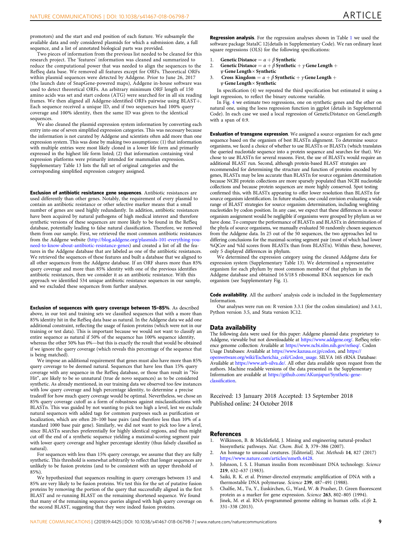<span id="page-8-0"></span>promotors) and the start and end position of each feature. We subsample the available data and only considered plasmids for which a submission date, a full sequence, and a list of annotated biological parts was provided.

Two pieces of information from the previous list needed to be cleaned for this research project. The 'features' information was cleaned and summarized to reduce the computational power that was needed to align the sequences to the RefSeq data base. We removed all features except for ORFs. Theoretical ORFs within plasmid sequences were detected by Addgene. Prior to June 26, 2017 (the launch date of SnapGene-powered maps), Addgene in-house software was used to detect theoretical ORFs. An arbitrary minimum ORF length of 150 amino acids was set and start codons (ATG) were searched for in all six reading frames. We then aligned all Addgene-identified ORFs pairwise using BLAST+. Each sequence received a unique ID, and if two sequences had 100% query coverage and 100% identity, then the same ID was given to the identical sequences.

We also cleaned the plasmid expression system information by converting each entry into one of seven simplified expression categories. This was necessary because the information is not curated by Addgene and scientists often add more than one expression system. This was done by making two assumptions: (1) that information with multiple entries were most likely cloned in a lower life form and primarily expressed in the highest life form listed; (2) that information containing viral expression platforms were primarily intended for mammalian expression. Supplementary Table 13 lists the full set of original categories and the corresponding simplified expression category assigned.

Exclusion of antibiotic resistance gene sequences. Antibiotic resistances are used differently than other genes. Notably, the requirement of every plasmid to contain an antibiotic resistance or other selective marker means that a small number of genes are used highly redundantly. In addition, antibiotic resistances have been acquired by natural pathogens of high medical interest and therefore synthetic versions of these sequences are more likely to be found in the RefSeq database, potentially leading to false natural classification. Therefore, we removed them from our sample. First, we retrieved the most common antibiotic resistances from the Addgene website ([http://blog.addgene.org/plasmids-101-everything-you](http://blog.addgene.org/plasmids-101-everything-you-need-to-know-about-antibiotic-resistance-genes)[need-to-know-about-antibiotic-resistance-genes\)](http://blog.addgene.org/plasmids-101-everything-you-need-to-know-about-antibiotic-resistance-genes) and created a list of all the features in the Addgene database that are labeled as one of the antibiotic resistances. We retrieved the sequences of these features and built a database that we aligned to all other sequences from the Addgene database. If an ORF shares more than 85% query coverage and more than 85% identity with one of the previous identifies antibiotic resistances, then we consider it as an antibiotic resistance. With this approach we identified 534 unique antibiotic resistance sequences in our sample, and we excluded these sequences from further analyses.

Exclusion of sequences with query coverage between 15–85%. As described above, in our test and training sets we classified sequences that with a more than 85% identity hit in the RefSeq data base as natural. In the Addgene data we add one additional constraint, reflecting the usage of fusion proteins (which were not in our training or test data). This is important because we would not want to classify an entire sequence as natural if 50% of the sequence has 100% sequence identity, whereas the other 50% has 0%—but this is exactly the result that would be obtained if we ignore the query coverage (which reveals this percentage of the sequence that is being matched).

We impose an additional requirement that genes must also have more than 85% query coverage to be deemed natural. Sequences that have less than 15% query coverage with any sequence in the RefSeq database, or those than result in "No Hit", are likely to be so unnatural (true de novo sequences) as to be considered synthetic. As already mentioned, in our training data we observed too few instances with low query coverage and high percentage identity, to determine a precise tradeoff for how much query coverage would be optimal. Nevertheless, we chose an 85% query coverage cutoff as a form of robustness against misclassifications with BLASTn. This was guided by not wanting to pick too high a level, lest we exclude natural sequences with added tags for common purposes such as purification or localization, which are often 20–100 base pairs (and therefore less than 10% of a standard 1000 base pair gene). Similarly, we did not want to pick too low a level, since BLASTn searches preferentially for highly identical regions, and thus might cut off the end of a synthetic sequence yielding a maximal-scoring segment pair with lower query coverage and higher percentage identity (thus falsely classified as natural).

For sequences with less than 15% query coverage, we assume that they are fully synthetic. This threshold is somewhat arbitrarily to reflect that longer sequences are unlikely to be fusion proteins (and to be consistent with an upper threshold of 85%).

We hypothesized that sequences resulting in query coverages between 15 and 85% are very likely to be fusion proteins. We test this for the set of putative fusion proteins by removing the portion of the query that successfully aligned in the first BLAST and re-running BLAST on the remaining shortened sequence. We found that many of the remaining sequence queries aligned with high query coverage on the second BLAST, suggesting that they were indeed fusion proteins.

**Regression analysis**. For the regression analyses shown in Table [1](#page-6-0) we used the software package StataIC 12(details in Supplementary Code). We ran ordinary least square regressions (OLS) for the following specifications:

- 1. Genetic Distance =  $\alpha + \beta$  Synthetic<br>2. Genetic Distance =  $\alpha + \beta$  Synthetic
- Genetic Distance =  $\alpha + \beta$  Synthetic +  $\gamma$  Gene Length +  $\psi$  Gene Length  $\times$  Synthetic
- 3. Cross Kingdom =  $\alpha + \beta$  Synthetic +  $\gamma$  Gene Length +  $\psi$  Gene Length  $\times$  Synthetic

In specification (4) we repeated the third specification but estimated it using a logit regression, to reflect the binary outcome variable.

In Fig. [4](#page-6-0) we estimate two regressions, one on synthetic genes and the other on natural one, using the loess regression function in ggplot (details in Supplemental Code). In each case we used a local regression of GeneticDistance on GeneLength with a span of 0.9.

Evaluation of transgene expression. We assigned a source organism for each gene sequence based on the organism of best BLASTn alignment. To determine source organisms, we faced a choice of whether to use BLASTn or BLASTx (which translates the queried nucleotide sequence into a protein sequence and searches for that). We chose to use BLASTn for several reasons. First, the use of BLASTx would require an additional BLAST run. Second, although protein-based BLAST strategies are recommended for determining the structure and function of proteins encoded by genes, BLASTx may be less accurate than BLASTn for source organism determination because NCBI protein collections are more sparsely populated than NCBI nucleotide collections and because protein sequences are more highly conserved. Spot testing confirmed this, with BLASTx appearing to offer lower resolution than BLASTn for source organism identification. In future studies, one could envision evaluating a wide range of BLAST strategies for source organism determination, including weighting nucleotides by codon position. In any case, we expect that these differences in source organism assignment would be negligible if organisms were grouped by phylum as we have done. To compare the performance of BLASTn and BLASTx in determination of the phyla of source organisms, we manually evaluated 50 randomly chosen sequences from the Addgene data. In 25 out of the 50 sequences, the two approaches led to differing conclusions for the maximal-scoring segment pair (most of which had lower %QCov and %Id scores from BLASTx than from BLASTn). Within these, however, only 5 displayed differences in phylum.

We determined the expression category using the cleaned Addgene data for expression system (Supplementary Table 13). We determined a representative organism for each phylum by most common member of that phylum in the Addgene database and obtained 16 S/18 S ribosomal RNA sequences for each organism (see Supplementary Fig. 1).

Code availability. All the authors' analysis code is included in the Supplementary Information.

Our analyses were run on: R version 3.3.1 (for the codon simulation) and 3.4.1, Python version 3.5, and Stata version IC12.

#### Data availability

The following data were used for this paper: Addgene plasmid data: proprietary to Addgene, viewable but not downloadable at <https://www.addgene.org/>. RefSeq reference genome collection: Available at [https://www.ncbi.nlm.nih.gov/refseq/.](https://www.ncbi.nlm.nih.gov/refseq/) Codon Usage Databases: Available at <https://www.kazusa.or.jp/codon>, and [https://](https://openwetware.org/wiki/Escherichia_coli/Codon_usage) [openwetware.org/wiki/Escherichia\\_coli/Codon\\_usage.](https://openwetware.org/wiki/Escherichia_coli/Codon_usage) SILVA 16S rRNA Database: Available at [https://www.arb-silva.de/.](https://www.arb-silva.de/) All other data available upon request from the authors. Machine readable versions of the data presented in the Supplementary Information are available at [https://github.com/AKunjapur/Synthetic-gene](https://github.com/AKunjapur/Synthetic-gene-classification)classifi[cation](https://github.com/AKunjapur/Synthetic-gene-classification).

Received: 13 January 2018 Accepted: 13 September 2018 Published online: 24 October 2018

#### References

- 1. Wilkinson, B. & Micklefield, J. Mining and engineering natural-product biosynthetic pathways. Nat. Chem. Biol. 3, 379-386 (2007).
- 2. An homage to unusual creatures. [Editorial]. Nat. Methods 14, 827 (2017) [https://www.nature.com/articles/nmeth.4428.](https://www.nature.com/articles/nmeth.4428)
- Johnson, I. S. I. Human insulin from recombinant DNA technology. Science 219, 632–637 (1983).
- 4. Saiki, R. K. et al. Primer-directed enzymatic amplification of DNA with a thermostable DNA polymerase. Science 239, 487–491 (1988).
- 5. Chalfie, M., Tu, Y., Euskirchen, G., Ward, W. & Prasher, D. Green fluorescent protein as a marker for gene expression. Science 263, 802–805 (1994).
- 6. Jinek, M. et al. RNA-programmed genome editing in human cells. eLife 2, 331–338 (2013).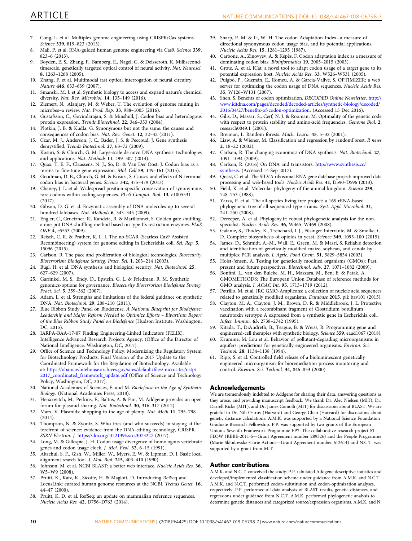- <span id="page-9-0"></span>7. Cong, L. et al. Multiplex genome engineering using CRISPR/Cas systems. Science 339, 819–823 (2013).
- 8. Mali, P. et al. RNA-guided human genome engineering via Cas9. Science 339, 823–6 (2013).
- 9. Boyden, E. S., Zhang, F., Bamberg, E., Nagel, G. & Deisseroth, K. Millisecondtimescale, genetically targeted optical control of neural activity. Nat. Neurosci. 8, 1263–1268 (2005).
- 10. Zhang, F. et al. Multimodal fast optical interrogation of neural circuitry. Nature 446, 633–639 (2007).
- 11. Smanski, M. J. et al. Synthetic biology to access and expand nature's chemical diversity. Nat. Rev. Microbiol. 14, 135–149 (2016).
- 12. Ziemert, N., Alanjary, M. & Weber, T. The evolution of genome mining in microbes–a review. Nat. Prod. Rep. 33, 988–1005 (2016).
- 13. Gustafsson, C., Govindarajan, S. & Minshull, J. Codon bias and heterologous protein expression. Trends Biotechnol. 22, 346–353 (2004).
- 14. Plotkin, J. B. & Kudla, G. Synonymous but not the same: the causes and consequences of codon bias. Nat. Rev. Genet. 12, 32–42 (2011).
- Czar, M. J., Anderson, J. C., Bader, J. S. & Peccoud, J. Gene synthesis demystified. Trends Biotechnol. 27, 63–72 (2009).
- 16. Kosuri, S. & Church, G. M. Large-scale de novo DNA synthesis: technologies and applications. Nat. Methods 11, 499–507 (2014).
- 17. Quax, T. E. F., Claassens, N. J., Sö, D. & Van Der Oost, J. Codon bias as a means to fine-tune gene expression. Mol. Cell 59, 149–161 (2015).
- 18. Goodman, D. B., Church, G. M. & Kosuri, S. Causes and effects of N-terminal codon bias in bacterial genes. Science 342, 475–479 (2013).
- 19. Chaney, J. L. et al. Widespread position-specific conservation of synonymous rare codons within coding sequences. PLoS Comput. Biol. 13, e1005531 (2017).
- 20. Gibson, D. G. et al. Enzymatic assembly of DNA molecules up to several hundred kilobases. Nat. Methods 6, 343–345 (2009).
- 21. Engler, C., Gruetzner, R., Kandzia, R. & Marillonnet, S. Golden gate shuffling: a one-pot DNA shuffling method based on type IIs restriction enzymes. PLoS ONE 4, e5553 (2009).
- 22. Reisch, C. R. & Prather, K. L. J. The no-SCAR (Scarless Cas9 Assisted Recombineering) system for genome editing in Escherichia coli. Sci. Rep. 5, 15096 (2015).
- 23. Carlson, R. The pace and proliferation of biological technologies. Biosecurity Bioterrorism Biodefense Strateg. Pract. Sci. 1, 203–214 (2003).
- 24. Bügl, H. et al. DNA synthesis and biological security. Nat. Biotechnol. 25, 627–629 (2007).
- 25. Garfinkel, M. S., Endy, D., Epstein, G. L. & Friedman, R. M. Synthetic genomics-options for governance. Biosecurity Bioterrorism Biodefense Strateg. Pract. Sci. 5, 359–362 (2007).
- 26. Adam, L. et al. Strengths and limitations of the federal guidance on synthetic DNA. Nat. Biotechnol. 29, 208–210 (2011).
- 27. Blue Ribbon Study Panel on Biodefense. A National Blueprint for Biodefense: Leadership and Major Reform Needed to Optimize Efforts – Bipartisan Report of the Blue Ribbon Study Panel on Biodefense (Hudson Institute, Washington, DC, 2015).
- 28. IARPA-BAA-17-07 Finding Engineering-Linked Indicators (FELIX). Intelligence Advanced Research Projects Agency. (Office of the Director of National Intelligence, Washington, DC, 2017).
- 29. Office of Science and Technology Policy. Modernizing the Regulatory System for Biotechnology Products: Final Version of the 2017 Update to the Coordinated Framework for the Regulation of Biotechnology. Available at: [https://obamawhitehouse.archives.gov/sites/default/](https://obamawhitehouse.archives.gov/sites/default/files/microsites/ostp/2017_coordinated_framework_update.pdf)files/microsites/ostp/ [2017\\_coordinated\\_framework\\_update.pdf](https://obamawhitehouse.archives.gov/sites/default/files/microsites/ostp/2017_coordinated_framework_update.pdf) (Office of Science and Technology Policy, Washington, DC, 2017).
- National Academies of Sciences, E. and M. Biodefense in the Age of Synthetic Biology. (National Academies Press, 2018).
- 31. Herscovitch, M., Perkins, E., Baltus, A. & Fan, M. Addgene provides an open forum for plasmid sharing. Nat. Biotechnol. 30, 316–317 (2012).
- 32. Marx, V. Plasmids: shopping in the age of plenty. Nat. Meth 11, 795–798 (2014).
- 33. Thompson, N. & Zyontz, S. Who tries (and who succeeds) in staying at the forefront of science: evidence from the DNA-editing technology, CRISPR. SSRN Electron. J. <https://doi.org/10.2139/ssrn.3073227> (2017).
- 34. Long, M. & Gillespie, J. H. Codon usage divergence of homologous vertebrate genes and codon usage clock. J. Mol. Evol. 32, 6-15 (1991).
- 35. Altschul, S. F., Gish, W., Miller, W., Myers, E. W. & Lipman, D. J. Basic local alignment search tool. J. Mol. Biol. 215, 403–410 (1990).
- 36. Johnson, M. et al. NCBI BLAST: a better web interface. Nucleic Acids Res. 36, W5–W9 (2008).
- 37. Pruitt, K., Katz, K., Sicotte, H. & Maglott, D. Introducing RefSeq and LocusLink: curated human genome resources at the NCBI. Trends Genet. 16, 44–47 (2000).
- 38. Pruitt, K. D. et al. RefSeq: an update on mammalian reference sequences. Nucleic Acids Res. 42, D756–D763 (2014).
- 39. Sharp, P. M. & Li, W. H. The codon Adaptation Index--a measure of directional synonymous codon usage bias, and its potential applications. Nucleic Acids Res. 15, 1281–1295 (1987).
- 40. Carbone, A., Zinovyev, A. & Képès, F. Codon adaptation index as a measure of dominating codon bias. Bioinformatics 19, 2005–2015 (2003).
- 41. Grote, A. et al. JCat: a novel tool to adapt codon usage of a target gene to its potential expression host. Nucleic Acids Res. 33, W526–W531 (2005).
- 42. Puigbò, P., Guzmán, E., Romeu, A. & Garcia-Vallvé, S. OPTIMIZER: a web server for optimizing the codon usage of DNA sequences. Nucleic Acids Res. 35, W126–W131 (2007).
- 43. Shen, S. Benefits of codon optimization. DECODED Online Newsletter. [http://](http://www.idtdna.com/pages/decoded/decoded-articles/synthetic-biology/decoded/2016/04/27/benefits-of-codon-optimization) [www.idtdna.com/pages/decoded/decoded-articles/synthetic-biology/decoded/](http://www.idtdna.com/pages/decoded/decoded-articles/synthetic-biology/decoded/2016/04/27/benefits-of-codon-optimization) 2016/04/27/benefi[ts-of-codon-optimization.](http://www.idtdna.com/pages/decoded/decoded-articles/synthetic-biology/decoded/2016/04/27/benefits-of-codon-optimization) (Accessed 15 Dec 2016).
- 44. Gilis, D., Massar, S., Cerf, N. J. & Rooman, M. Optimality of the genetic code with respect to protein stability and amino-acid frequencies. Genome Biol. 2, research0049.1 (2001).
- 45. Breiman, L. Random forests. Mach. Learn. 45, 5–32 (2001).
- Liaw, A. & Wiener, M. Classification and regression by randomForest. R news 2, 18–22 (2002).
- 47. Carlson, R. The changing economics of DNA synthesis. Nat. Biotechnol. 27, 1091–1094 (2009).
- 48. Carlson, R. (2016) On DNA and transistors. [http://www.synthesis.cc/](http://www.synthesis.cc/synthesis) [synthesis](http://www.synthesis.cc/synthesis). (Accessed 14 Sep 2017).
- 49. Quast, C. et al. The SILVA ribosomal RNA gene database project: improved data processing and web-based tools. Nucleic Acids Res. 41, D590–D596 (2013).
- 50. Field, K. et al. Molecular phylogeny of the animal kingdom. Science 239, 748–753 (1988).
- 51. Yarza, P. et al. The all-species living tree project: a 16S rRNA-based phylogenetic tree of all sequenced type strains. Syst. Appl. Microbiol. 31, 241–250 (2008).
- 52. Dereeper, A. et al. Phylogeny.fr: robust phylogenetic analysis for the nonspecialist. Nucleic Acids Res. 36, W465–W469 (2008).
- 53. Galanie, S., Thodey, K., Trenchard, I. J., Filsinger Interrante, M. & Smolke, C. D. Complete biosynthesis of opioids in yeast. Science 349, 1095–100 (2015).
- 54. James, D., Schmidt, A.-M., Wall, E., Green, M. & Masri, S. Reliable detection and identification of genetically modified maize, soybean, and canola by multiplex PCR analysis. J. Agric. Food Chem. 51, 5829–5834 (2003).
- 55. Holst-Jensen, A. Testing for genetically modified organisms (GMOs): Past, present and future perspectives. Biotechnol. Adv. 27, 1071–1082 (2009).
- 56. Bonfini, L., van den Bulcke, M. H., Mazzara, M., Ben, E. & Patak, A. GMOMETHODS: The European Union Database of reference methods for GMO analysis. J. AOAC Int. 95, 1713–1719 (2012).
- 57. Petrillo, M. et al. JRC GMO-Amplicons: a collection of nucleic acid sequences related to genetically modified organisms. Database 2015, pii: bav101 (2015).
- 58. Clayton, M. A., Clayton, J. M., Brown, D. R. & Middlebrook, J. L. Protective vaccination with a recombinant fragment of Clostridium botulinum neurotoxin serotype A expressed from a synthetic gene in Escherichia coli. Infect. Immun. 63, 2738–2742 (1995).
- Kitada, T., DiAndreth, B., Teague, B. & Weiss, R. Programming gene and engineered-cell therapies with synthetic biology. Science 359, eaad1067 (2018).
- 60. Krumme, M. Lou et al. Behavior of pollutant-degrading microorganisms in aquifers: predictions for genetically engineered organisms. Environ. Sci. Technol. 28, 1134–1138 (1994).
- 61. Ripp, S. et al. Controlled field release of a bioluminescent genetically engineered microorganism for bioremediation process monitoring and control. Environ. Sci. Technol. 34, 846–853 (2000).

#### Acknowledgements

We are tremendously indebted to Addgene for sharing their data, answering questions as they arose, and providing manuscript feedback. We thank Dr. Alec Nielsen (MIT), Dr. Darrell Ricke (MIT), and Dr. James Comolli (MIT) for discussions about BLAST. We are grateful to Dr. Nili Ostrov (Harvard) and George Chao (Harvard) for discussions about genetic distance calculations. A.M.K. was supported by a National Science Foundation Graduate Research Fellowship. P.P. was supported by two grants of the European Union's Seventh Framework Programme FP7. The collaborative research project ST-FLOW (KBBE-2011-5—Grant Agreement number 289326) and the People Programme (Marie Skłodowska-Curie Actions—Grant Agreement number 612614) and N.C.T. was supported by a grant from MIT.

#### Author contributions

A.M.K. and N.C.T. conceived the study. P.P. tabulated Addgene descriptive statistics and developed/implemented classification scheme under guidance from A.M.K. and N.C.T. A.M.K. and N.C.T. performed codon-substitution and codon-optimization analyses, respectively. P.P. performed all data analysis of BLAST results, genetic distances, and regressions under guidance from N.C.T. A.M.K. performed phylogenetic analysis to determine genetic distances and categorized source/expression organisms. A.M.K. and N.